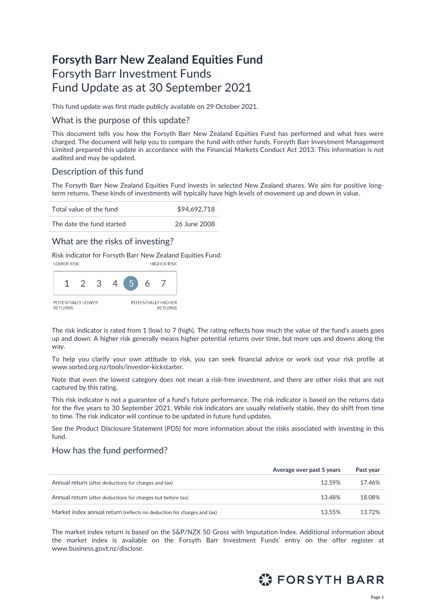# **Forsyth Barr New Zealand Equities Fund** Forsyth Barr Investment Funds Fund Update as at 30 September 2021

This fund update was first made publicly available on 29 October 2021.

### What is the purpose of this update?

This document tells you how the Forsyth Barr New Zealand Equities Fund has performed and what fees were charged. The document will help you to compare the fund with other funds. Forsyth Barr Investment Management Limited prepared this update in accordance with the Financial Markets Conduct Act 2013. This information is not audited and may be updated.

### Description of this fund

The Forsyth Barr New Zealand Equities Fund invests in selected New Zealand shares. We aim for positive longterm returns. These kinds of investments will typically have high levels of movement up and down in value.

| Total value of the fund   | \$94,692,718 |
|---------------------------|--------------|
| The date the fund started | 26 June 2008 |

### What are the risks of investing?

Risk indicator for Forsyth Barr New Zealand Equities Fund:



The risk indicator is rated from 1 (low) to 7 (high). The rating reflects how much the value of the fund's assets goes up and down. A higher risk generally means higher potential returns over time, but more ups and downs along the way.

To help you clarify your own attitude to risk, you can seek financial advice or work out your risk profile at [www.sorted.org.nz/tools/investor-kickstarter.](http://www.sorted.org.nz/tools/investor-kickstarter) 

Note that even the lowest category does not mean a risk-free investment, and there are other risks that are not captured by this rating.

This risk indicator is not a guarantee of a fund's future performance. The risk indicator is based on the returns data for the five years to 30 September 2021. While risk indicators are usually relatively stable, they do shift from time to time. The risk indicator will continue to be updated in future fund updates.

See the Product Disclosure Statement (PDS) for more information about the risks associated with investing in this fund.

### How has the fund performed?

|                                                                        | Average over past 5 years | Past year |
|------------------------------------------------------------------------|---------------------------|-----------|
| Annual return (after deductions for charges and tax)                   | 12.59%                    | 17.46%    |
| Annual return (after deductions for charges but before tax)            | 13.48%                    | 18.08%    |
| Market index annual return (reflects no deduction for charges and tax) | 13.55%                    | 13.72%    |

The market index return is based on the S&P/NZX 50 Gross with Imputation Index. Additional information about the market index is available on the Forsyth Barr Investment Funds' entry on the offer register at [www.business.govt.nz/disclose.](http://www.business.govt.nz/disclose)

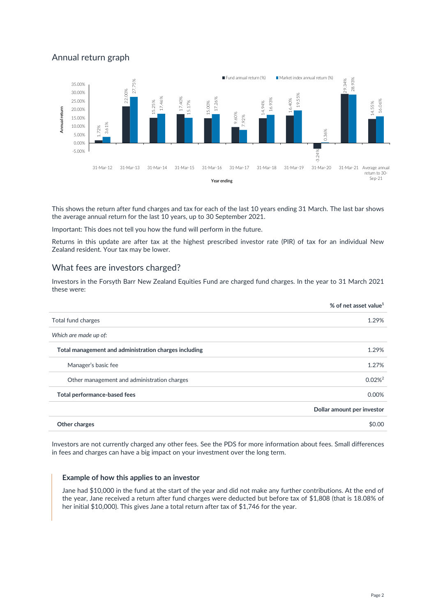### Annual return graph



This shows the return after fund charges and tax for each of the last 10 years ending 31 March. The last bar shows the average annual return for the last 10 years, up to 30 September 2021.

Important: This does not tell you how the fund will perform in the future.

Returns in this update are after tax at the highest prescribed investor rate (PIR) of tax for an individual New Zealand resident. Your tax may be lower.

### What fees are investors charged?

Investors in the Forsyth Barr New Zealand Equities Fund are charged fund charges. In the year to 31 March 2021 these were:

|                                                       | % of net asset value <sup>1</sup> |
|-------------------------------------------------------|-----------------------------------|
| Total fund charges                                    | 1.29%                             |
| Which are made up of:                                 |                                   |
| Total management and administration charges including | 1.29%                             |
| Manager's basic fee                                   | 1.27%                             |
| Other management and administration charges           | $0.02\%^2$                        |
| Total performance-based fees                          | 0.00%                             |
|                                                       | Dollar amount per investor        |
| Other charges                                         | \$0.00                            |

Investors are not currently charged any other fees. See the PDS for more information about fees. Small differences in fees and charges can have a big impact on your investment over the long term.

#### **Example of how this applies to an investor**

Jane had \$10,000 in the fund at the start of the year and did not make any further contributions. At the end of the year, Jane received a return after fund charges were deducted but before tax of \$1,808 (that is 18.08% of her initial \$10,000). This gives Jane a total return after tax of \$1,746 for the year.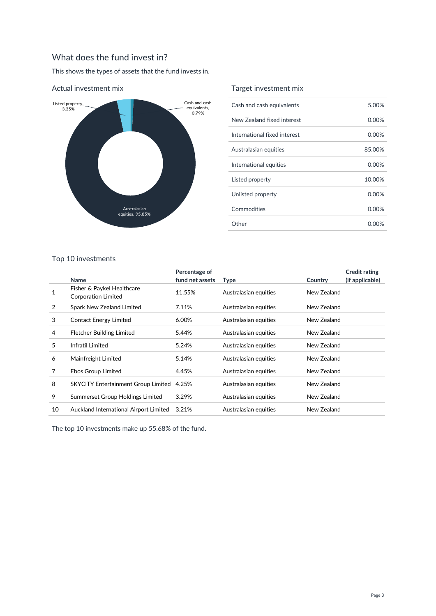## What does the fund invest in?

This shows the types of assets that the fund invests in.



#### Actual investment mix

### Target investment mix

| Cash and cash equivalents    | 5.00%    |
|------------------------------|----------|
| New Zealand fixed interest   | 0.00%    |
| International fixed interest | 0.00%    |
| Australasian equities        | 85.00%   |
| International equities       | $0.00\%$ |
| Listed property              | 10.00%   |
| Unlisted property            | $0.00\%$ |
| Commodities                  | 0.00%    |
| Other                        | 0.00%    |

#### Top 10 investments

|    | Name                                                     | Percentage of<br>fund net assets | Type                  | Country     | <b>Credit rating</b><br>(if applicable) |
|----|----------------------------------------------------------|----------------------------------|-----------------------|-------------|-----------------------------------------|
|    | Fisher & Paykel Healthcare<br><b>Corporation Limited</b> | 11.55%                           | Australasian equities | New Zealand |                                         |
| 2  | Spark New Zealand Limited                                | 7.11%                            | Australasian equities | New Zealand |                                         |
| 3  | <b>Contact Energy Limited</b>                            | 6.00%                            | Australasian equities | New Zealand |                                         |
| 4  | <b>Fletcher Building Limited</b>                         | 5.44%                            | Australasian equities | New Zealand |                                         |
| 5  | Infratil Limited                                         | 5.24%                            | Australasian equities | New Zealand |                                         |
| 6  | Mainfreight Limited                                      | 5.14%                            | Australasian equities | New Zealand |                                         |
| 7  | Ebos Group Limited                                       | 4.45%                            | Australasian equities | New Zealand |                                         |
| 8  | <b>SKYCITY Entertainment Group Limited</b>               | 4.25%                            | Australasian equities | New Zealand |                                         |
| 9  | Summerset Group Holdings Limited                         | 3.29%                            | Australasian equities | New Zealand |                                         |
| 10 | Auckland International Airport Limited                   | 3.21%                            | Australasian equities | New Zealand |                                         |

The top 10 investments make up 55.68% of the fund.